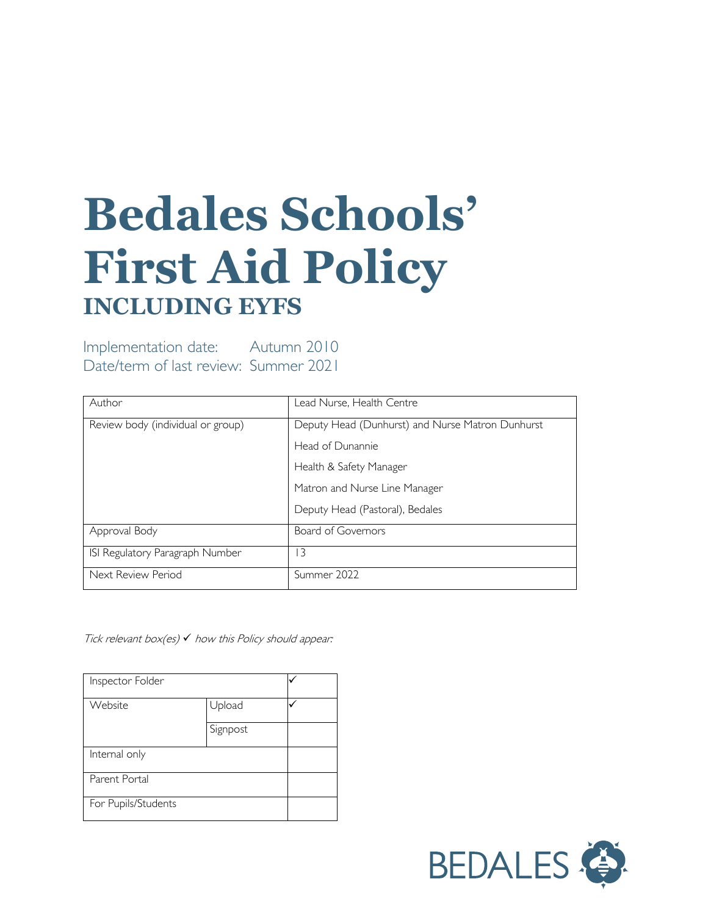# **Bedales Schools' First Aid Policy INCLUDING EYFS**

Implementation date: Autumn 2010 Date/term of last review: Summer 2021

| Author                            | Lead Nurse, Health Centre                        |  |
|-----------------------------------|--------------------------------------------------|--|
| Review body (individual or group) | Deputy Head (Dunhurst) and Nurse Matron Dunhurst |  |
|                                   | Head of Dunannie                                 |  |
|                                   | Health & Safety Manager                          |  |
|                                   | Matron and Nurse Line Manager                    |  |
|                                   | Deputy Head (Pastoral), Bedales                  |  |
| Approval Body                     | Board of Governors                               |  |
| ISI Regulatory Paragraph Number   | 3                                                |  |
| Next Review Period                | Summer 2022                                      |  |

Tick relevant box(es)  $\checkmark$  how this Policy should appear:

| Inspector Folder    |          |  |
|---------------------|----------|--|
| Website             | Upload   |  |
|                     | Signpost |  |
| Internal only       |          |  |
| Parent Portal       |          |  |
| For Pupils/Students |          |  |

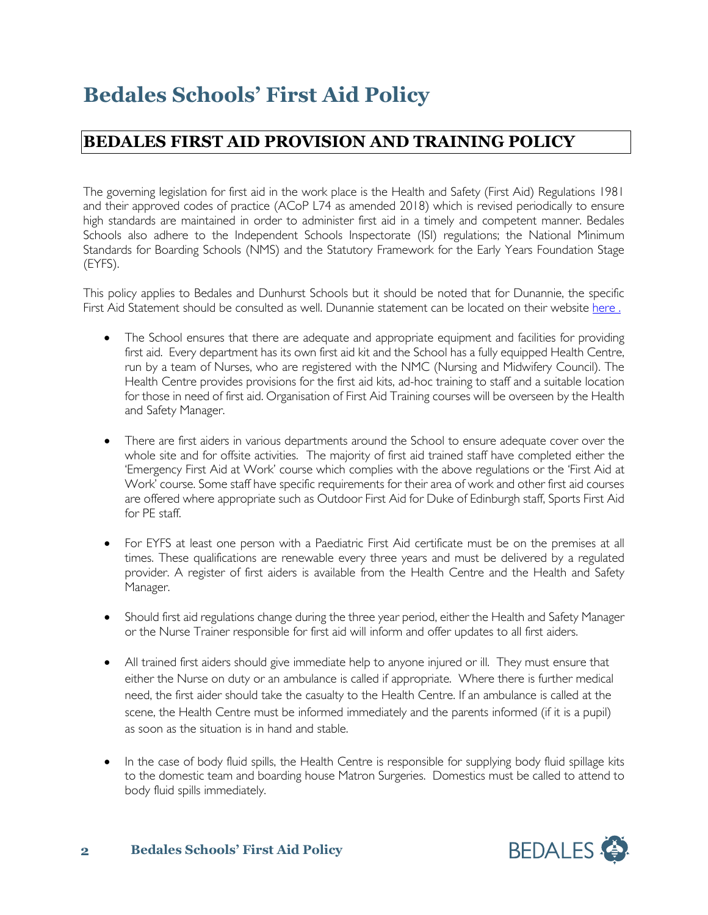# **Bedales Schools' First Aid Policy**

### **BEDALES FIRST AID PROVISION AND TRAINING POLICY**

The governing legislation for first aid in the work place is the Health and Safety (First Aid) Regulations 1981 and their approved codes of practice (ACoP L74 as amended 2018) which is revised periodically to ensure high standards are maintained in order to administer first aid in a timely and competent manner. Bedales Schools also adhere to the Independent Schools Inspectorate (ISI) regulations; the National Minimum Standards for Boarding Schools (NMS) and the Statutory Framework for the Early Years Foundation Stage (EYFS).

This policy applies to Bedales and Dunhurst Schools but it should be noted that for Dunannie, the specific First Aid Statement should be consulted as well. Dunannie statement can be located on their website [here](https://www.bedales.org.uk/sites/default/files/documents/2020-06/A7%20First%20Aid%20Policy.pdf).

- The School ensures that there are adequate and appropriate equipment and facilities for providing first aid. Every department has its own first aid kit and the School has a fully equipped Health Centre, run by a team of Nurses, who are registered with the NMC (Nursing and Midwifery Council). The Health Centre provides provisions for the first aid kits, ad-hoc training to staff and a suitable location for those in need of first aid. Organisation of First Aid Training courses will be overseen by the Health and Safety Manager.
- There are first aiders in various departments around the School to ensure adequate cover over the whole site and for offsite activities. The majority of first aid trained staff have completed either the 'Emergency First Aid at Work' course which complies with the above regulations or the 'First Aid at Work' course. Some staff have specific requirements for their area of work and other first aid courses are offered where appropriate such as Outdoor First Aid for Duke of Edinburgh staff, Sports First Aid for PE staff.
- For EYFS at least one person with a Paediatric First Aid certificate must be on the premises at all times. These qualifications are renewable every three years and must be delivered by a regulated provider. A register of first aiders is available from the Health Centre and the Health and Safety Manager.
- Should first aid regulations change during the three year period, either the Health and Safety Manager or the Nurse Trainer responsible for first aid will inform and offer updates to all first aiders.
- All trained first aiders should give immediate help to anyone injured or ill. They must ensure that either the Nurse on duty or an ambulance is called if appropriate. Where there is further medical need, the first aider should take the casualty to the Health Centre. If an ambulance is called at the scene, the Health Centre must be informed immediately and the parents informed (if it is a pupil) as soon as the situation is in hand and stable.
- In the case of body fluid spills, the Health Centre is responsible for supplying body fluid spillage kits to the domestic team and boarding house Matron Surgeries. Domestics must be called to attend to body fluid spills immediately.

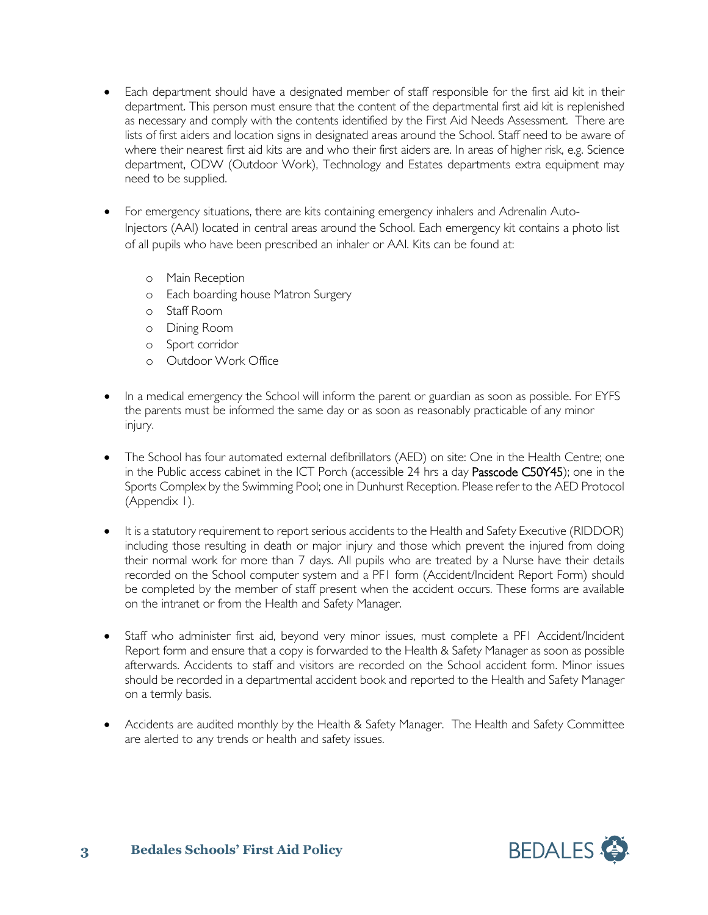- Each department should have a designated member of staff responsible for the first aid kit in their department. This person must ensure that the content of the departmental first aid kit is replenished as necessary and comply with the contents identified by the First Aid Needs Assessment. There are lists of first aiders and location signs in designated areas around the School. Staff need to be aware of where their nearest first aid kits are and who their first aiders are. In areas of higher risk, e.g. Science department, ODW (Outdoor Work), Technology and Estates departments extra equipment may need to be supplied.
- For emergency situations, there are kits containing emergency inhalers and Adrenalin Auto-Injectors (AAI) located in central areas around the School. Each emergency kit contains a photo list of all pupils who have been prescribed an inhaler or AAI. Kits can be found at:
	- o Main Reception
	- o Each boarding house Matron Surgery
	- o Staff Room
	- o Dining Room
	- o Sport corridor
	- o Outdoor Work Office
- In a medical emergency the School will inform the parent or guardian as soon as possible. For EYFS the parents must be informed the same day or as soon as reasonably practicable of any minor injury.
- The School has four automated external defibrillators (AED) on site: One in the Health Centre; one in the Public access cabinet in the ICT Porch (accessible 24 hrs a day Passcode C50Y45); one in the Sports Complex by the Swimming Pool; one in Dunhurst Reception. Please refer to the AED Protocol (Appendix 1).
- It is a statutory requirement to report serious accidents to the Health and Safety Executive (RIDDOR) including those resulting in death or major injury and those which prevent the injured from doing their normal work for more than 7 days. All pupils who are treated by a Nurse have their details recorded on the School computer system and a PF1 form (Accident/Incident Report Form) should be completed by the member of staff present when the accident occurs. These forms are available on the intranet or from the Health and Safety Manager.
- Staff who administer first aid, beyond very minor issues, must complete a PF1 Accident/Incident Report form and ensure that a copy is forwarded to the Health & Safety Manager as soon as possible afterwards. Accidents to staff and visitors are recorded on the School accident form. Minor issues should be recorded in a departmental accident book and reported to the Health and Safety Manager on a termly basis.
- Accidents are audited monthly by the Health & Safety Manager. The Health and Safety Committee are alerted to any trends or health and safety issues.

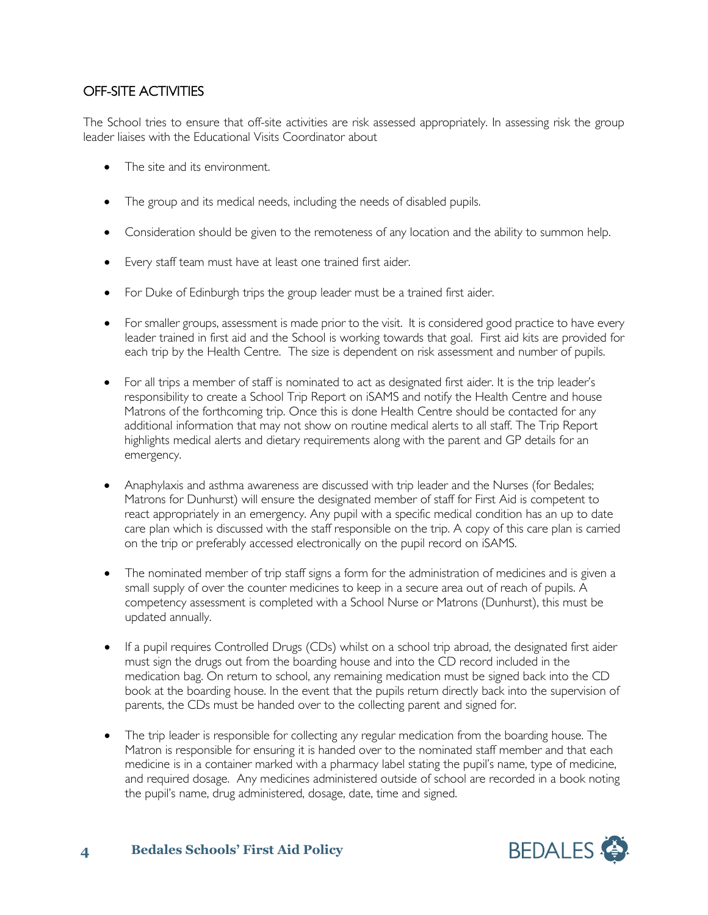#### OFF-SITE ACTIVITIES

The School tries to ensure that off-site activities are risk assessed appropriately. In assessing risk the group leader liaises with the Educational Visits Coordinator about

- The site and its environment.
- The group and its medical needs, including the needs of disabled pupils.
- Consideration should be given to the remoteness of any location and the ability to summon help.
- Every staff team must have at least one trained first aider.
- For Duke of Edinburgh trips the group leader must be a trained first aider.
- For smaller groups, assessment is made prior to the visit. It is considered good practice to have every leader trained in first aid and the School is working towards that goal. First aid kits are provided for each trip by the Health Centre. The size is dependent on risk assessment and number of pupils.
- For all trips a member of staff is nominated to act as designated first aider. It is the trip leader's responsibility to create a School Trip Report on iSAMS and notify the Health Centre and house Matrons of the forthcoming trip. Once this is done Health Centre should be contacted for any additional information that may not show on routine medical alerts to all staff. The Trip Report highlights medical alerts and dietary requirements along with the parent and GP details for an emergency.
- Anaphylaxis and asthma awareness are discussed with trip leader and the Nurses (for Bedales; Matrons for Dunhurst) will ensure the designated member of staff for First Aid is competent to react appropriately in an emergency. Any pupil with a specific medical condition has an up to date care plan which is discussed with the staff responsible on the trip. A copy of this care plan is carried on the trip or preferably accessed electronically on the pupil record on iSAMS.
- The nominated member of trip staff signs a form for the administration of medicines and is given a small supply of over the counter medicines to keep in a secure area out of reach of pupils. A competency assessment is completed with a School Nurse or Matrons (Dunhurst), this must be updated annually.
- If a pupil requires Controlled Drugs (CDs) whilst on a school trip abroad, the designated first aider must sign the drugs out from the boarding house and into the CD record included in the medication bag. On return to school, any remaining medication must be signed back into the CD book at the boarding house. In the event that the pupils return directly back into the supervision of parents, the CDs must be handed over to the collecting parent and signed for.
- The trip leader is responsible for collecting any regular medication from the boarding house. The Matron is responsible for ensuring it is handed over to the nominated staff member and that each medicine is in a container marked with a pharmacy label stating the pupil's name, type of medicine, and required dosage. Any medicines administered outside of school are recorded in a book noting the pupil's name, drug administered, dosage, date, time and signed.

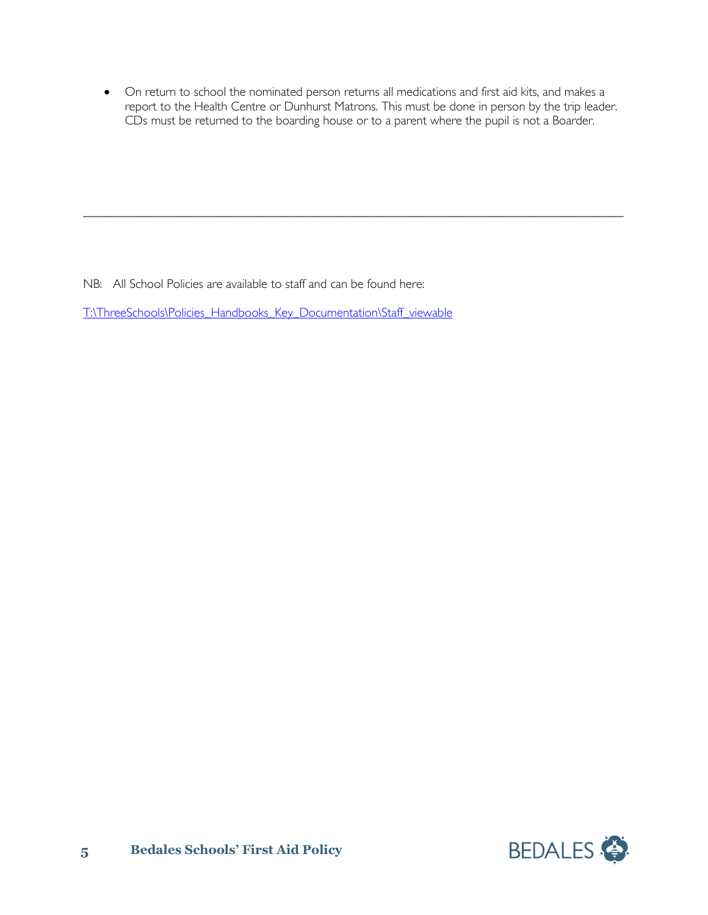• On return to school the nominated person returns all medications and first aid kits, and makes a report to the Health Centre or Dunhurst Matrons. This must be done in person by the trip leader. CDs must be returned to the boarding house or to a parent where the pupil is not a Boarder.

 $\_$  , and the set of the set of the set of the set of the set of the set of the set of the set of the set of the set of the set of the set of the set of the set of the set of the set of the set of the set of the set of th

NB: All School Policies are available to staff and can be found here:

[T:\ThreeSchools\Policies\\_Handbooks\\_Key\\_Documentation\Staff\\_viewable](about:blank)

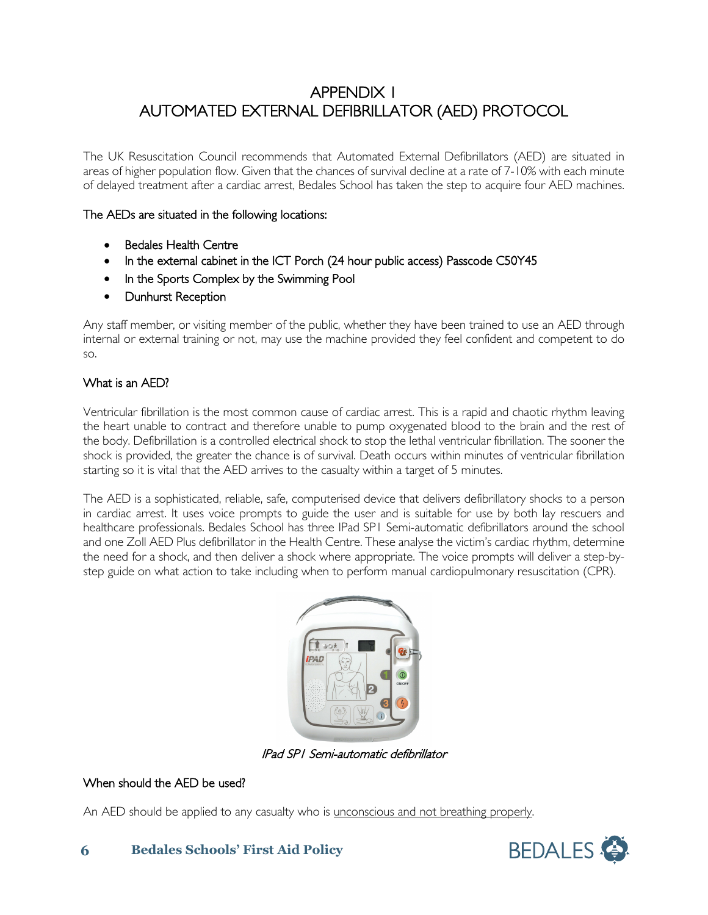## APPENDIX 1 AUTOMATED EXTERNAL DEFIBRILLATOR (AED) PROTOCOL

The UK Resuscitation Council recommends that Automated External Defibrillators (AED) are situated in areas of higher population flow. Given that the chances of survival decline at a rate of 7-10% with each minute of delayed treatment after a cardiac arrest, Bedales School has taken the step to acquire four AED machines.

#### The AEDs are situated in the following locations:

- Bedales Health Centre
- In the external cabinet in the ICT Porch (24 hour public access) Passcode C50Y45
- In the Sports Complex by the Swimming Pool
- Dunhurst Reception

Any staff member, or visiting member of the public, whether they have been trained to use an AED through internal or external training or not, may use the machine provided they feel confident and competent to do so.

#### What is an AED?

Ventricular fibrillation is the most common cause of cardiac arrest. This is a rapid and chaotic rhythm leaving the heart unable to contract and therefore unable to pump oxygenated blood to the brain and the rest of the body. Defibrillation is a controlled electrical shock to stop the lethal ventricular fibrillation. The sooner the shock is provided, the greater the chance is of survival. Death occurs within minutes of ventricular fibrillation starting so it is vital that the AED arrives to the casualty within a target of 5 minutes.

The AED is a sophisticated, reliable, safe, computerised device that delivers defibrillatory shocks to a person in cardiac arrest. It uses voice prompts to guide the user and is suitable for use by both lay rescuers and healthcare professionals. Bedales School has three IPad SP1 Semi-automatic defibrillators around the school and one Zoll AED Plus defibrillator in the Health Centre. These analyse the victim's cardiac rhythm, determine the need for a shock, and then deliver a shock where appropriate. The voice prompts will deliver a step-bystep guide on what action to take including when to perform manual cardiopulmonary resuscitation (CPR).



IPad SP1 Semi-automatic defibrillator

#### When should the AED be used?

An AED should be applied to any casualty who is <u>unconscious and not breathing properly</u>.



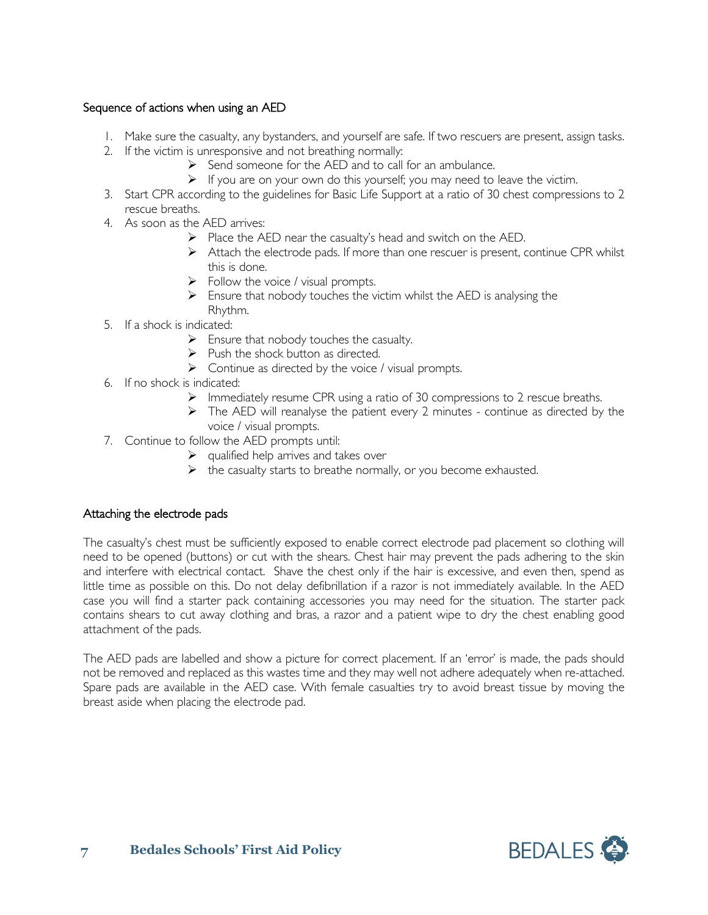#### Sequence of actions when using an AED

- 1. Make sure the casualty, any bystanders, and yourself are safe. If two rescuers are present, assign tasks.
- 2. If the victim is unresponsive and not breathing normally:
	- $\triangleright$  Send someone for the AED and to call for an ambulance.
	- $\triangleright$  If you are on your own do this yourself; you may need to leave the victim.
- 3. Start CPR according to the guidelines for Basic Life Support at a ratio of 30 chest compressions to 2 rescue breaths.
- 4. As soon as the AED arrives:
	- $\triangleright$  Place the AED near the casualty's head and switch on the AED.
	- $\triangleright$  Attach the electrode pads. If more than one rescuer is present, continue CPR whilst this is done.
	- $\triangleright$  Follow the voice / visual prompts.
	- $\triangleright$  Ensure that nobody touches the victim whilst the AED is analysing the Rhythm.
- 5. If a shock is indicated:
	- $\triangleright$  Ensure that nobody touches the casualty.
	- $\triangleright$  Push the shock button as directed.
	- $\triangleright$  Continue as directed by the voice / visual prompts.
- 6. If no shock is indicated:
	- $\triangleright$  Immediately resume CPR using a ratio of 30 compressions to 2 rescue breaths.
	- $\triangleright$  The AED will reanalyse the patient every 2 minutes continue as directed by the voice / visual prompts.
- 7. Continue to follow the AED prompts until:
	- $\triangleright$  qualified help arrives and takes over
	- $\triangleright$  the casualty starts to breathe normally, or you become exhausted.

#### Attaching the electrode pads

The casualty's chest must be sufficiently exposed to enable correct electrode pad placement so clothing will need to be opened (buttons) or cut with the shears. Chest hair may prevent the pads adhering to the skin and interfere with electrical contact. Shave the chest only if the hair is excessive, and even then, spend as little time as possible on this. Do not delay defibrillation if a razor is not immediately available. In the AED case you will find a starter pack containing accessories you may need for the situation. The starter pack contains shears to cut away clothing and bras, a razor and a patient wipe to dry the chest enabling good attachment of the pads.

The AED pads are labelled and show a picture for correct placement. If an 'error' is made, the pads should not be removed and replaced as this wastes time and they may well not adhere adequately when re-attached. Spare pads are available in the AED case. With female casualties try to avoid breast tissue by moving the breast aside when placing the electrode pad.

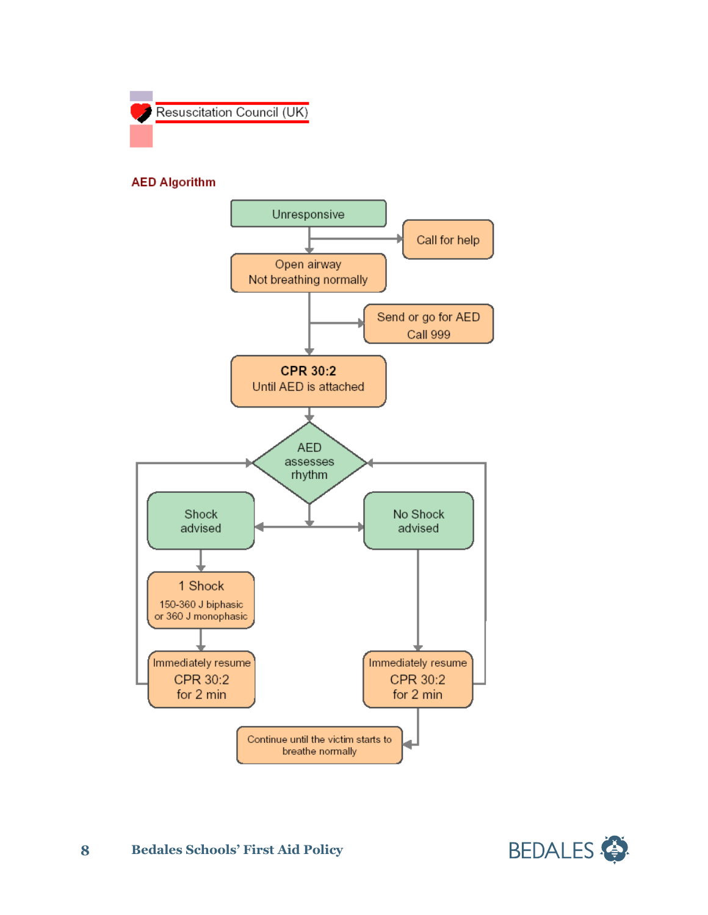

#### **AED Algorithm**